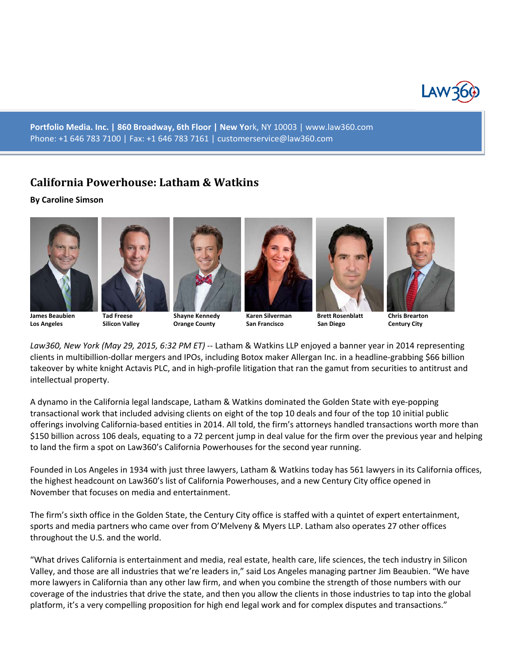

**Portfolio Media. Inc. | 860 Broadway, 6th Floor | New Yo**rk, NY 10003 | www.law360.com Phone: +1 646 783 7100 | Fax: +1 646 783 7161 | customerservice@law360.com

## **California Powerhouse: Latham & Watkins**

## **By Caroline Simson**











**Los Angeles Silicon Valley Orange County San Francisco San Diego Century City**



*Law360, New York (May 29, 2015, 6:32 PM ET)* -- Latham & Watkins LLP enjoyed a banner year in 2014 representing clients in multibillion-dollar mergers and IPOs, including Botox maker Allergan Inc. in a headline-grabbing \$66 billion takeover by white knight Actavis PLC, and in high-profile litigation that ran the gamut from securities to antitrust and intellectual property.

A dynamo in the California legal landscape, Latham & Watkins dominated the Golden State with eye-popping transactional work that included advising clients on eight of the top 10 deals and four of the top 10 initial public offerings involving California-based entities in 2014. All told, the firm's attorneys handled transactions worth more than \$150 billion across 106 deals, equating to a 72 percent jump in deal value for the firm over the previous year and helping to land the firm a spot on Law360's California Powerhouses for the second year running.

Founded in Los Angeles in 1934 with just three lawyers, Latham & Watkins today has 561 lawyers in its California offices, the highest headcount on Law360's list of California Powerhouses, and a new Century City office opened in November that focuses on media and entertainment.

The firm's sixth office in the Golden State, the Century City office is staffed with a quintet of expert entertainment, sports and media partners who came over from O'Melveny & Myers LLP. Latham also operates 27 other offices throughout the U.S. and the world.

"What drives California is entertainment and media, real estate, health care, life sciences, the tech industry in Silicon Valley, and those are all industries that we're leaders in," said Los Angeles managing partner Jim Beaubien. "We have more lawyers in California than any other law firm, and when you combine the strength of those numbers with our coverage of the industries that drive the state, and then you allow the clients in those industries to tap into the global platform, it's a very compelling proposition for high end legal work and for complex disputes and transactions."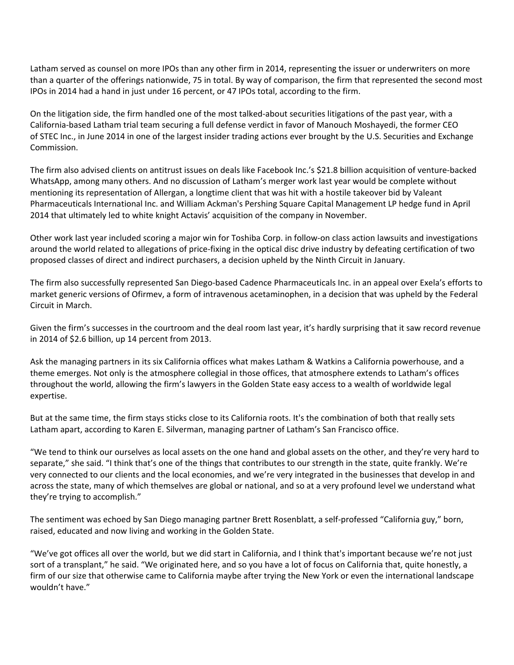Latham served as counsel on more IPOs than any other firm in 2014, representing the issuer or underwriters on more than a quarter of the offerings nationwide, 75 in total. By way of comparison, the firm that represented the second most IPOs in 2014 had a hand in just under 16 percent, or 47 IPOs total, according to the firm.

On the litigation side, the firm handled one of the most talked-about securities litigations of the past year, with a California-based Latham trial team securing a full defense verdict in favor of Manouch Moshayedi, the former CEO of STEC Inc., in June 2014 in one of the largest insider trading actions ever brought by the U.S. Securities and Exchange Commission.

The firm also advised clients on antitrust issues on deals like Facebook Inc.'s \$21.8 billion acquisition of venture-backed WhatsApp, among many others. And no discussion of Latham's merger work last year would be complete without mentioning its representation of Allergan, a longtime client that was hit with a hostile takeover bid by Valeant Pharmaceuticals International Inc. and William Ackman's Pershing Square Capital Management LP hedge fund in April 2014 that ultimately led to white knight Actavis' acquisition of the company in November.

Other work last year included scoring a major win for Toshiba Corp. in follow-on class action lawsuits and investigations around the world related to allegations of price-fixing in the optical disc drive industry by defeating certification of two proposed classes of direct and indirect purchasers, a decision upheld by the Ninth Circuit in January.

The firm also successfully represented San Diego-based Cadence Pharmaceuticals Inc. in an appeal over Exela's efforts to market generic versions of Ofirmev, a form of intravenous acetaminophen, in a decision that was upheld by the Federal Circuit in March.

Given the firm's successes in the courtroom and the deal room last year, it's hardly surprising that it saw record revenue in 2014 of \$2.6 billion, up 14 percent from 2013.

Ask the managing partners in its six California offices what makes Latham & Watkins a California powerhouse, and a theme emerges. Not only is the atmosphere collegial in those offices, that atmosphere extends to Latham's offices throughout the world, allowing the firm's lawyers in the Golden State easy access to a wealth of worldwide legal expertise.

But at the same time, the firm stays sticks close to its California roots. It's the combination of both that really sets Latham apart, according to Karen E. Silverman, managing partner of Latham's San Francisco office.

"We tend to think our ourselves as local assets on the one hand and global assets on the other, and they're very hard to separate," she said. "I think that's one of the things that contributes to our strength in the state, quite frankly. We're very connected to our clients and the local economies, and we're very integrated in the businesses that develop in and across the state, many of which themselves are global or national, and so at a very profound level we understand what they're trying to accomplish."

The sentiment was echoed by San Diego managing partner Brett Rosenblatt, a self-professed "California guy," born, raised, educated and now living and working in the Golden State.

"We've got offices all over the world, but we did start in California, and I think that's important because we're not just sort of a transplant," he said. "We originated here, and so you have a lot of focus on California that, quite honestly, a firm of our size that otherwise came to California maybe after trying the New York or even the international landscape wouldn't have."